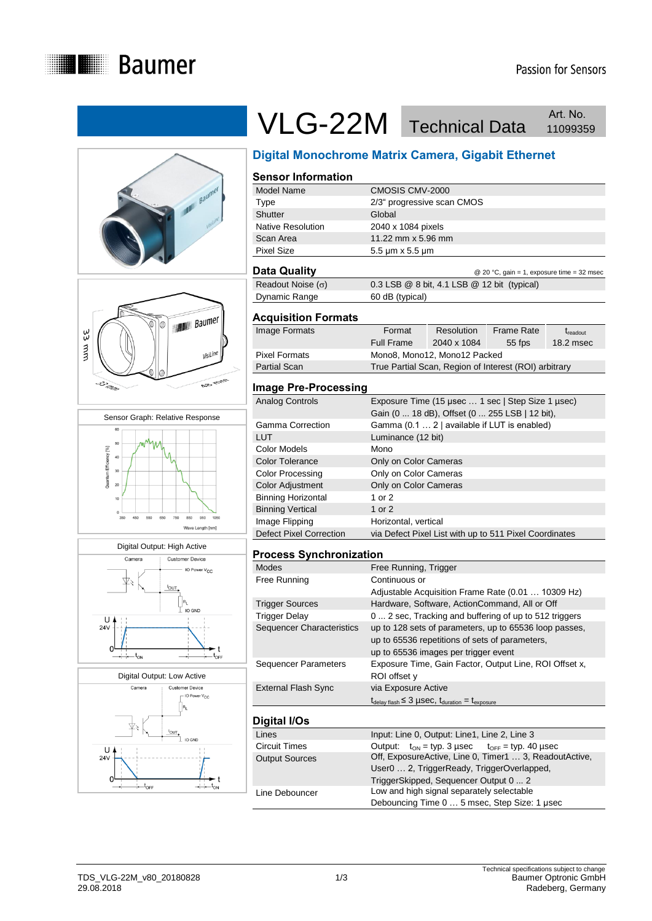











## VLG-22M Technical Data Art. No. Art. No.

### **Digital Monochrome Matrix Camera, Gigabit Ethernet**

#### **Sensor Information** Model Name CMOSIS CMV-2000 Type 2/3" progressive scan CMOS Shutter Global Native Resolution 2040 x 1084 pixels Scan Area 11.22 mm x 5.96 mm Pixel Size 5.5 μm x 5.5 μm

**Data Quality Data Guality Data Guality C** 20 °C, gain = 1, exposure time = 32 msec Readout Noise  $(\sigma)$  0.3 LSB @ 8 bit, 4.1 LSB @ 12 bit (typical) Dynamic Range 60 dB (typical)

#### **Acquisition Formats**

| Image Formats        | Format                                                | Resolution                   | Frame Rate | <i>t</i> <sub>readout</sub> |
|----------------------|-------------------------------------------------------|------------------------------|------------|-----------------------------|
|                      | <b>Full Frame</b>                                     | 2040 x 1084                  | $55$ fps   | 18.2 msec                   |
| <b>Pixel Formats</b> |                                                       | Mono8, Mono12, Mono12 Packed |            |                             |
| <b>Partial Scan</b>  | True Partial Scan, Region of Interest (ROI) arbitrary |                              |            |                             |
|                      |                                                       |                              |            |                             |

#### **Image Pre-Processing**

| Analog Controls           | Exposure Time (15 µsec  1 sec   Step Size 1 µsec)<br>Gain (0  18 dB), Offset (0  255 LSB   12 bit), |
|---------------------------|-----------------------------------------------------------------------------------------------------|
| Gamma Correction          | Gamma (0.1  2   available if LUT is enabled)                                                        |
| LUT                       | Luminance (12 bit)                                                                                  |
| Color Models              | Mono                                                                                                |
| <b>Color Tolerance</b>    | Only on Color Cameras                                                                               |
| Color Processing          | Only on Color Cameras                                                                               |
| Color Adjustment          | Only on Color Cameras                                                                               |
| <b>Binning Horizontal</b> | 1 or 2                                                                                              |
| <b>Binning Vertical</b>   | 1 or $2$                                                                                            |
| Image Flipping            | Horizontal, vertical                                                                                |
| Defect Pixel Correction   | via Defect Pixel List with up to 511 Pixel Coordinates                                              |

#### **Process Synchronization**

| <b>Modes</b>                | Free Running, Trigger                                                                                                                            |
|-----------------------------|--------------------------------------------------------------------------------------------------------------------------------------------------|
| Free Running                | Continuous or                                                                                                                                    |
|                             | Adjustable Acquisition Frame Rate (0.01  10309 Hz)                                                                                               |
| <b>Trigger Sources</b>      | Hardware, Software, ActionCommand, All or Off                                                                                                    |
| <b>Trigger Delay</b>        | 0  2 sec, Tracking and buffering of up to 512 triggers                                                                                           |
| Sequencer Characteristics   | up to 128 sets of parameters, up to 65536 loop passes,<br>up to 65536 repetitions of sets of parameters,<br>up to 65536 images per trigger event |
| <b>Sequencer Parameters</b> | Exposure Time, Gain Factor, Output Line, ROI Offset x,<br>ROI offset y                                                                           |
| <b>External Flash Sync</b>  | via Exposure Active                                                                                                                              |
|                             | $t_{\text{delay flash}} \leq 3 \mu \text{sec}, t_{\text{duration}} = t_{\text{exposure}}$                                                        |
| Digital I/Os                |                                                                                                                                                  |
| Lines                       | Input: Line 0, Output: Line1, Line 2, Line 3                                                                                                     |
| <b>Circuit Times</b>        | Output: $t_{ON}$ = typ. 3 usec $t_{OFF}$ = typ. 40 usec                                                                                          |

Circuit Times Output: tON = typ. 3 µsec tOFF = typ. 40 µsec Output Sources Off, ExposureActive, Line 0, Timer1 … 3, ReadoutActive, User0 … 2, TriggerReady, TriggerOverlapped, TriggerSkipped, Sequencer Output 0 ... 2 Line Debouncer Low and high signal separately selectable Debouncing Time 0 … 5 msec, Step Size: 1 μsec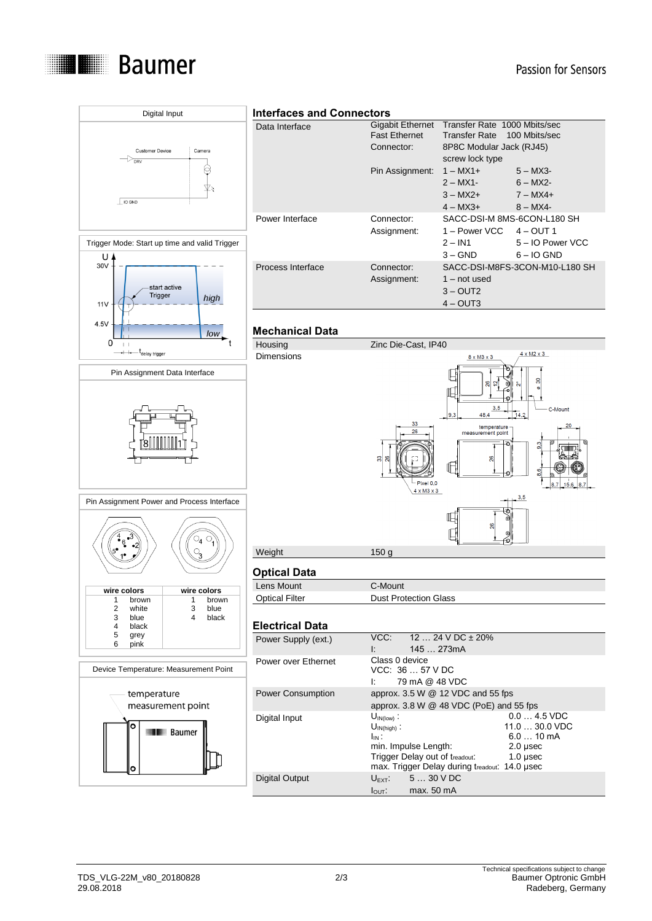



# TDS\_VLG-22M\_v80\_20180828 2/3<br>29.08.2018